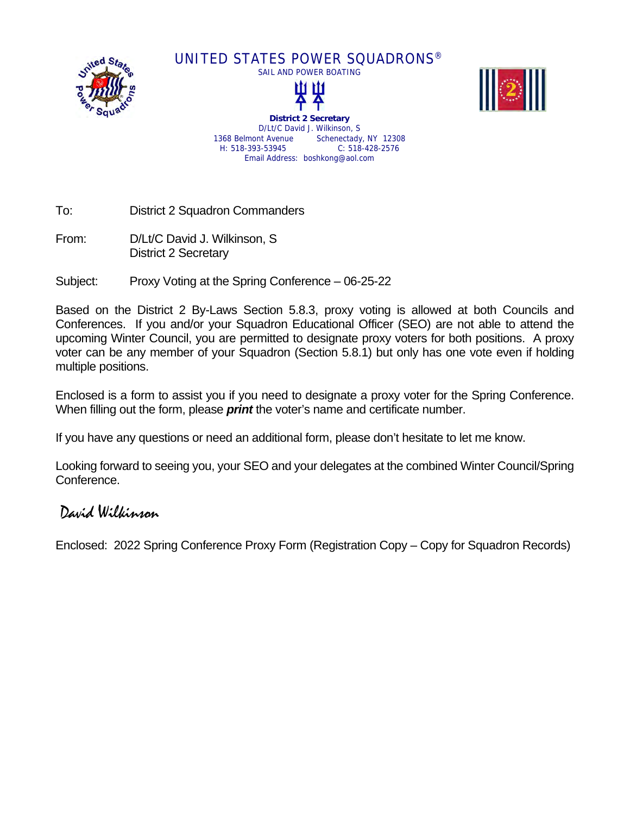

UNITED STATES POWER SQUADRONS®





**District 2 Secretary**  D/Lt/C David J. Wilkinson, S 1368 Belmont Avenue Schenectady, NY 12308 H: 518-393-53945 C: 518-428-2576 Email Address: boshkong@aol.com

To: District 2 Squadron Commanders

From: D/Lt/C David J. Wilkinson, S District 2 Secretary

Subject: Proxy Voting at the Spring Conference – 06-25-22

Based on the District 2 By-Laws Section 5.8.3, proxy voting is allowed at both Councils and Conferences. If you and/or your Squadron Educational Officer (SEO) are not able to attend the upcoming Winter Council, you are permitted to designate proxy voters for both positions. A proxy voter can be any member of your Squadron (Section 5.8.1) but only has one vote even if holding multiple positions.

Enclosed is a form to assist you if you need to designate a proxy voter for the Spring Conference. When filling out the form, please *print* the voter's name and certificate number.

If you have any questions or need an additional form, please don't hesitate to let me know.

Looking forward to seeing you, your SEO and your delegates at the combined Winter Council/Spring Conference.

## David Wilkinson

Enclosed: 2022 Spring Conference Proxy Form (Registration Copy – Copy for Squadron Records)